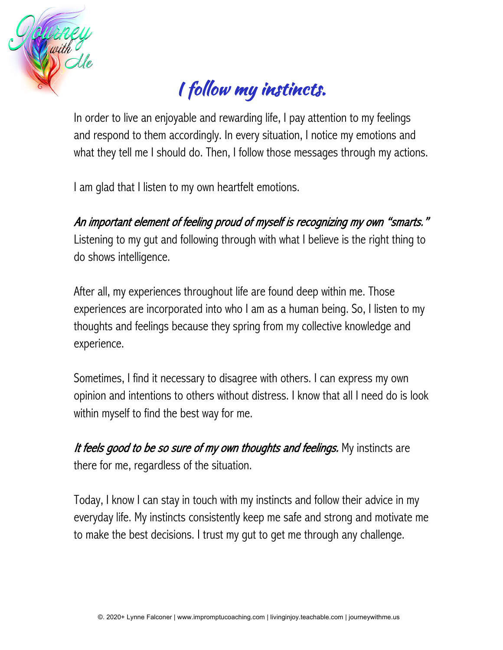

## I follow my instincts.

In order to live an enjoyable and rewarding life, I pay attention to my feelings and respond to them accordingly. In every situation, I notice my emotions and what they tell me I should do. Then, I follow those messages through my actions.

I am glad that I listen to my own heartfelt emotions.

An important element of feeling proud of myself is recognizing my own "smarts." Listening to my gut and following through with what I believe is the right thing to do shows intelligence.

After all, my experiences throughout life are found deep within me. Those experiences are incorporated into who I am as a human being. So, I listen to my thoughts and feelings because they spring from my collective knowledge and experience.

Sometimes, I find it necessary to disagree with others. I can express my own opinion and intentions to others without distress. I know that all I need do is look within myself to find the best way for me.

It feels good to be so sure of my own thoughts and feelings. My instincts are there for me, regardless of the situation.

Today, I know I can stay in touch with my instincts and follow their advice in my everyday life. My instincts consistently keep me safe and strong and motivate me to make the best decisions. I trust my gut to get me through any challenge.